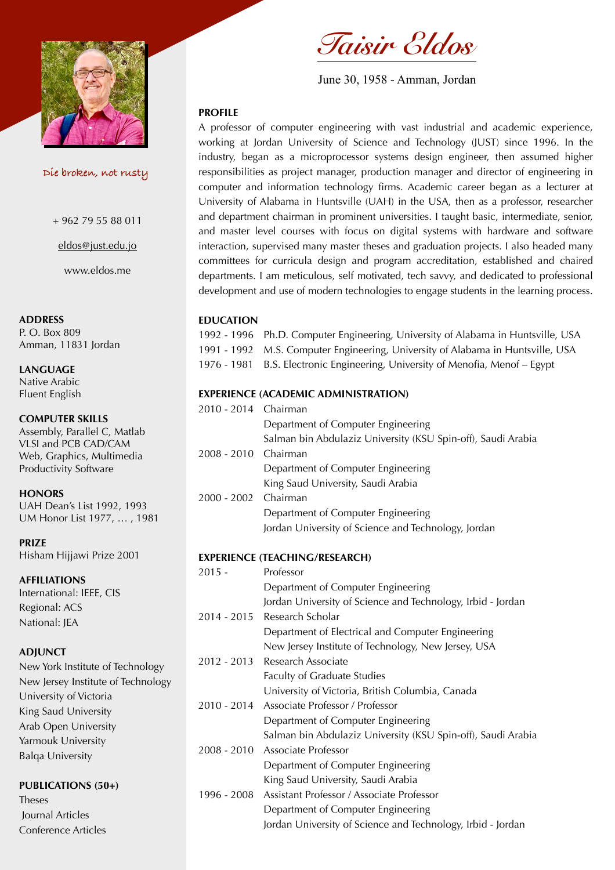

 **Die broken, not rusty**

+ 962 79 55 88 011

[eldos@just.edu.jo](mailto:eldos@just.edu.jo)

www.eldos.me

## **ADDRESS**

P. O. Box 809 Amman, 11831 Jordan

**LANGUAGE** Native Arabic Fluent English

**COMPUTER SKILLS** Assembly, Parallel C, Matlab VLSI and PCB CAD/CAM Web, Graphics, Multimedia Productivity Software

**HONORS** UAH Dean's List 1992, 1993 UM Honor List 1977, … , 1981

**PRIZE** Hisham Hijjawi Prize 2001

**AFFILIATIONS** International: IEEE, CIS Regional: ACS National: JEA

#### **ADJUNCT**

New York Institute of Technology New Jersey Institute of Technology University of Victoria King Saud University Arab Open University Yarmouk University Balqa University

#### **PUBLICATIONS (50+)**

Theses Journal Articles Conference Articles



June 30, 1958 - Amman, Jordan

# **PROFILE**

A professor of computer engineering with vast industrial and academic experience, working at Jordan University of Science and Technology (JUST) since 1996. In the industry, began as a microprocessor systems design engineer, then assumed higher responsibilities as project manager, production manager and director of engineering in computer and information technology firms. Academic career began as a lecturer at University of Alabama in Huntsville (UAH) in the USA, then as a professor, researcher and department chairman in prominent universities. I taught basic, intermediate, senior, and master level courses with focus on digital systems with hardware and software interaction, supervised many master theses and graduation projects. I also headed many committees for curricula design and program accreditation, established and chaired departments. I am meticulous, self motivated, tech savvy, and dedicated to professional development and use of modern technologies to engage students in the learning process.

# **EDUCATION**

1992 - 1996 Ph.D. Computer Engineering, University of Alabama in Huntsville, USA 1991 - 1992 M.S. Computer Engineering, University of Alabama in Huntsville, USA 1976 - 1981 B.S. Electronic Engineering, University of Menofia, Menof - Egypt

# **EXPERIENCE (ACADEMIC ADMINISTRATION)**

| 2010 - 2014 Chairman |                      |                                                              |
|----------------------|----------------------|--------------------------------------------------------------|
|                      |                      | Department of Computer Engineering                           |
|                      |                      | Salman bin Abdulaziz University (KSU Spin-off), Saudi Arabia |
|                      | 2008 - 2010 Chairman |                                                              |
|                      |                      | Department of Computer Engineering                           |
|                      |                      | King Saud University, Saudi Arabia                           |
|                      | 2000 - 2002 Chairman |                                                              |
|                      |                      | Department of Computer Engineering                           |
|                      |                      | Jordan University of Science and Technology, Jordan          |
|                      |                      |                                                              |

#### **EXPERIENCE (TEACHING/RESEARCH)**

| $2015 -$    | Professor                                                    |
|-------------|--------------------------------------------------------------|
|             | Department of Computer Engineering                           |
|             | Jordan University of Science and Technology, Irbid - Jordan  |
| 2014 - 2015 | Research Scholar                                             |
|             | Department of Electrical and Computer Engineering            |
|             | New Jersey Institute of Technology, New Jersey, USA          |
|             | 2012 - 2013 Research Associate                               |
|             | <b>Faculty of Graduate Studies</b>                           |
|             | University of Victoria, British Columbia, Canada             |
|             | 2010 - 2014 Associate Professor / Professor                  |
|             | Department of Computer Engineering                           |
|             | Salman bin Abdulaziz University (KSU Spin-off), Saudi Arabia |
|             | 2008 - 2010 Associate Professor                              |
|             | Department of Computer Engineering                           |
|             | King Saud University, Saudi Arabia                           |
| 1996 - 2008 | Assistant Professor / Associate Professor                    |
|             | Department of Computer Engineering                           |
|             | Jordan University of Science and Technology, Irbid - Jordan  |